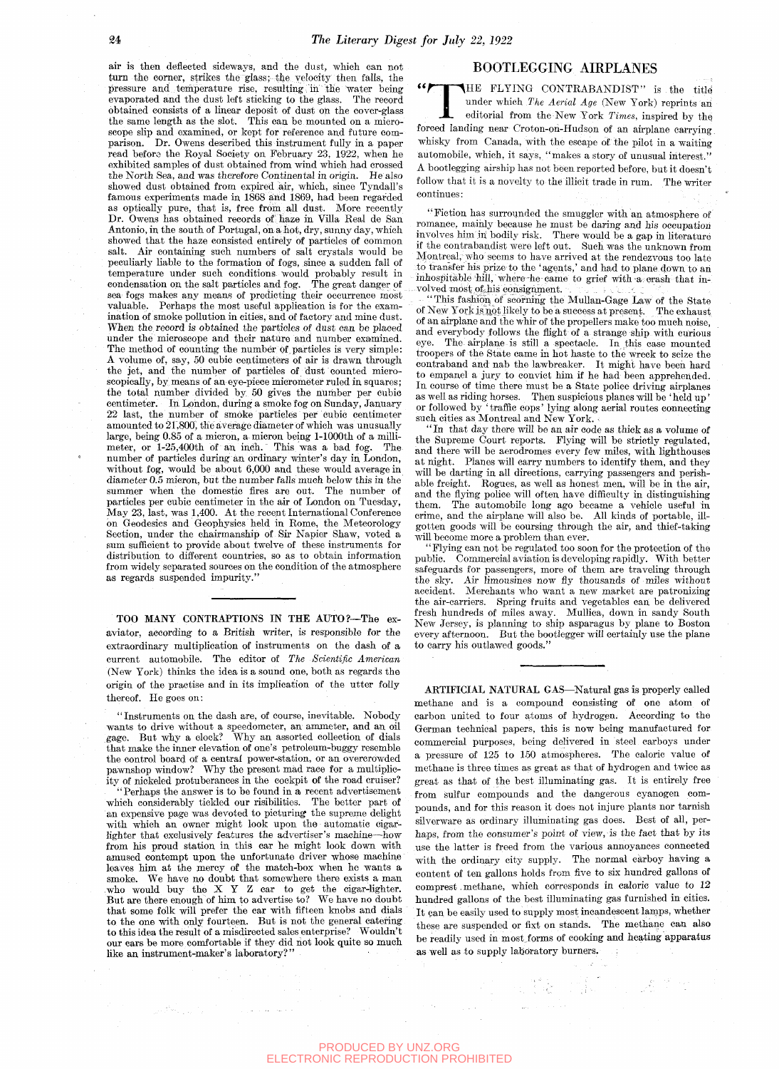air is then deflected sideways, and the dust, which can not turn the corner, strikes the glass; the velocity then falls, the pressure and temperature rise, resulting in the water being evaporated and the dust left sticking to the glass. The record obtained consists of a linear deposit of dust on the cover-glass the same length as the slot. This can be mounted on a microscope slip and examined, or kept for reference and future comparison. Dr. Owens described this instrument fully in a paper read before the Royal Society on February 23, 1922, when he exhibited samples of dust obtained from wind which had crossed the North Sea, and was therefore Continental in origin. He also showed dust obtained from expired air, which, since Tyndall's famous experiments made in 1868 and 1869, had been regarded as optically pure, that is, free from all dust. More recently Dr. Owens has obtained records of haze in Villa Real de San Antonio, in the south of Portugal, on a hot, dry, sunny day, which showed that the haze consisted entirely of particles of common salt. Air containing such numbers of salt crystals would be peculiarly liable to the formation of fogs, since a sudden fall of temperature under such conditions would probably result in condensation on the salt particles and fog. The great danger of sea fogs makes any means of predicting their occurrence most valuable. Perhaps the most useful application is for the examination of smoke pollution in cities, and of factory and mine dust. When the record is obtained the particles of dust can be placed under the microscope and their nature and number examined. The method of counting the number of particles is very simple: A volume of, say, 50 cubic centimeters of air is drawn through the jet, and the number of particles of dust counted microscopically, by means of an eye-piece micrometer ruled in squares; the total number divided by 50 gives the number per cubic centimeter. In London, during a smoke fog on Sunday, January 22 last, the number of smoke particles per cubic centimeter amounted to 21,800, the average diameter of which was unusually large, being 0.85 of a micron, a micron being 1-lOOOth of a millimeter, or l-25,400th of an inch. This was a bad fog. The number of particles during an ordinary winter's day in London, without fog, would be about 6,000 and these would average in diameter 0.5 micron, but the number falls much below this in the summer when the domestic fires are out. The number of particles per cubic centimeter in the air of London on Tuesday, May 23, last, was 1,400. At the recent International Conference on Geodesies and Geophysics held in Rome, the Meteorology Section, under the chairmanship of Sir Napier Shaw, voted a sum sufficient to provide about twelve of these instruments for distribution to different countries, so as to obtain information from widely separated sources on the condition of the atmosphere as regards suspended impurity.

TOO MANY CONTRAPTIONS IN THE AUTO?—The exaviator, according to a British writer, is responsible for the extraordinary multiplication of instruments on the dash of a current automobile. The editor of *The Scientific American*  (New York) thinks the idea is a sound one, both as regards the origin of the practise and in its implication of the utter folly thereof. He goes on:

"Instruments on the dash are, of course, inevitable. Nobody wants to drive without a speedometer, an ammeter, and an oil gage. But why a clock? Why an assorted collection of dials that make the inner elevation of one's petroleum-buggy resemble the control board of a central power-station, or an overcrowded pawnshop window? Why the present mad race for a multiplicity of nickeled protuberances in the cockpit of the road cruiser?

"Perhaps the answer is to be found in a recent advertisement which considerably tickled our risibilities. The better part of an expensive page was devoted to picturing the supreme delight with which an owner might look upon the automatic cigarlighter that exclusively features the advertiser's machine—how from his proud station in this car he might look down with amused contempt upon the unfortunate driver whose machine leaves him at the mercy of the match-box when he wants a smoke. We have no doubt that somewhere there exists a man who would buy the X Y Z car to get the cigar-lighter. But are there enough of him to advertise to? We have no doubt that some folk wiU prefer the car with fifteen knobs and dials to the one with only fourteen. But is not the general catering to this idea the result of a misdirected sales enterprise? Wouldn't our cars be more comfortable if they did not look quite so much like an instrument-maker's laboratory?"

 $\left\langle \left\langle \mathcal{O} \right\rangle \right\rangle = \left\langle \left\langle \mathcal{O} \right\rangle \right\rangle = \left\langle \left\langle \mathcal{O} \right\rangle \right\rangle = \left\langle \mathcal{O} \right\rangle$ 

## BOOTLEGGING AIRPLANES

**EQUILEGGING AIRPLANES**<br>
THE FLYING CONTRABANDIST" is the title under which *The Aerial Age* (New York) reprints an editorial from the New York *Times*, inspired by the forced landing near Croton-on-Hudson of an airplane c HE FLYING CONTRABANDIST" is the title : editorial from the New York *Times,* inspired by the under which *The Aerial Age* (New York) reprints an whisky from Canada, with the escape of the pilot in a waiting automobile, which, it says, "makes a story of unusual interest." A bootlegging airship has not been reported before, but it doesn't follow that it is a novelty to the illicit trade in rum. The writer continues:

"Fiction has surrounded the smuggler with an atmosphere of romance, mainly because he must be daring and his occupation involves him in bodily risk. There would be a gap in literature if the contrabandist were left out. Such was the unknown from Montreal, who seems to have arrived at the rendezvous too late to transfer his prize to the 'agents,' and had to plane down to an inhospitable'hill, where-he-came to grief with-a crash that involved'mOst.off.his consignment. . . , /:\_ .•, ,;

"This fashion of scorning the Mullan-Gage Law of the State of New York is not likely to be a success at present. The exhaust of an airplane and the whir of the propellers make too much noise, and everybody follows the flight of a strange ship with curious eye. The airplane is still a spectacle. In this case mounted troopers of the State came in hot haste to the wreck to seize the contraband and nab the lawbreaker. It might have been hard to empanel a jury to convict him if he had been apprehended. In course of time there must be a State police driving airplanes as well as riding horses. Then suspicious planes will be 'held up' or followed by ' traffic cops' lying along aerial routes connecting such cities as Montreal and New York.

In that day there will be an air code as thick as a volume of the Supreme Court reports. Flying will be strictly regulated, and there will be aerodromes every few miles, with lighthouses at night. Planes will carry numbers to identify them, and they will be darting in all directions, carrying passengers and perishable freight. Rogues, as well as honest men, will be in the air, and the flying police will often have difficulty in distinguishing them. The automobile long ago became a vehicle useful in crime, and the airplane wiU also be. All kinds of portable, illgotten goods will be coursing through the air, and thief-taking will become more a problem than ever.

"Flying can not be regulated too soon for the protection of the public. Commercial aviation is developing rapidly. With better safeguards for passengers, more of them are traveling through the sky. Air limousines now fly thousands of miles without accident. Merchants who want a new market are patronizing the air-carriers. Spring fruits and vegetables can be delivered fresh hundreds of miles away. MuUica, down in sandy South New Jersey, is planning to ship asparagus by plane to Boston every afternoon. But the bootlegger will certainly use the plane to carry his outlawed goods."

ARTIFICIAL NATURAL GAS—Natural gas is properly called methane and is a compound consisting of one atom of carbon united to four atoms of hydrogen. According to the German technical papers, this is now being manufactured for commercial purposes, being delivered in steel carboys under a pressure of 125 to 150 atmospheres. The caloric value of methane is three times as great as that of hydrogen and twice as great as that of the best illuminating gas. It is entirely free from sulfur compounds and the dangerous cyanogen compounds, and for this reason it does not injure plants nor tarnish silverware as ordinary illuminating gas does. Best of all, perhaps, from the consumer's point of view, is the fact that by its use the latter is freed from the various annoyances connected with the ordinary city supply. The normal carboy having a content of ten gallons holds from five to six hundred gallons of comprest, methane, which corresponds in caloric value to 12 hundred gallons of the best illuminating gas furnished in cities. It can be easily used to supply most incandescent lamps, whether these are suspended or fixt on stands. The methane can also be readily used in most forms of cooking and heating apparatus as well as to supply laboratory burners.